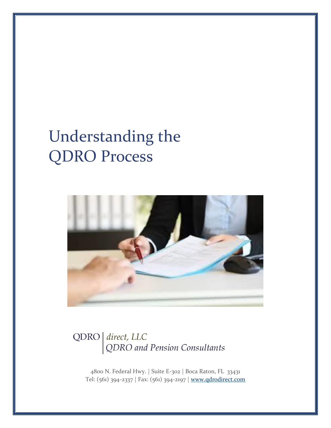# Understanding the QDRO Process



### QDRO | direct, LLC QDRO and Pension Consultants

4800 N. Federal Hwy. | Suite E-302 | Boca Raton, FL 33431 Tel: (561) 394-2337 | Fax: (561) 394-2197 | [www.qdrodirect.com](http://www.qdrodirect.com/)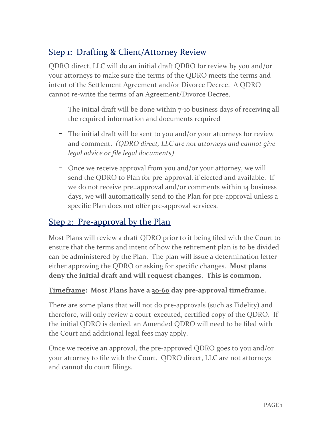#### Step 1: Drafting & Client/Attorney Review

QDRO direct, LLC will do an initial draft QDRO for review by you and/or your attorneys to make sure the terms of the QDRO meets the terms and intent of the Settlement Agreement and/or Divorce Decree. A QDRO cannot re-write the terms of an Agreement/Divorce Decree.

- − The initial draft will be done within 7-10 business days of receiving all the required information and documents required
- − The initial draft will be sent to you and/or your attorneys for review and comment. *(QDRO direct, LLC are not attorneys and cannot give legal advice or file legal documents)*
- − Once we receive approval from you and/or your attorney, we will send the QDRO to Plan for pre-approval, if elected and available. If we do not receive pre=approval and/or comments within 14 business days, we will automatically send to the Plan for pre-approval unless a specific Plan does not offer pre-approval services.

#### Step 2: Pre-approval by the Plan

Most Plans will review a draft QDRO prior to it being filed with the Court to ensure that the terms and intent of how the retirement plan is to be divided can be administered by the Plan. The plan will issue a determination letter either approving the QDRO or asking for specific changes. **Most plans deny the initial draft and will request changes**. **This is common.**

#### **Timeframe: Most Plans have a 30-60 day pre-approval timeframe.**

There are some plans that will not do pre-approvals (such as Fidelity) and therefore, will only review a court-executed, certified copy of the QDRO. If the initial QDRO is denied, an Amended QDRO will need to be filed with the Court and additional legal fees may apply.

Once we receive an approval, the pre-approved QDRO goes to you and/or your attorney to file with the Court. QDRO direct, LLC are not attorneys and cannot do court filings.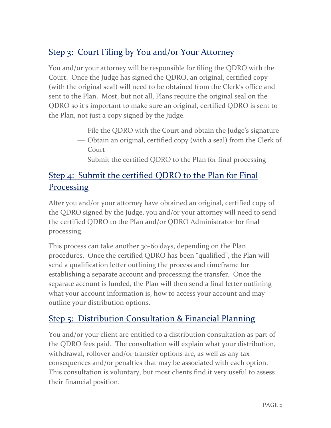#### Step 3: Court Filing by You and/or Your Attorney

You and/or your attorney will be responsible for filing the QDRO with the Court. Once the Judge has signed the QDRO, an original, certified copy (with the original seal) will need to be obtained from the Clerk's office and sent to the Plan. Most, but not all, Plans require the original seal on the QDRO so it's important to make sure an original, certified QDRO is sent to the Plan, not just a copy signed by the Judge.

- File the QDRO with the Court and obtain the Judge's signature
- Obtain an original, certified copy (with a seal) from the Clerk of Court
- Submit the certified QDRO to the Plan for final processing

#### Step 4: Submit the certified QDRO to the Plan for Final **Processing**

After you and/or your attorney have obtained an original, certified copy of the QDRO signed by the Judge, you and/or your attorney will need to send the certified QDRO to the Plan and/or QDRO Administrator for final processing.

This process can take another 30-60 days, depending on the Plan procedures. Once the certified QDRO has been "qualified", the Plan will send a qualification letter outlining the process and timeframe for establishing a separate account and processing the transfer. Once the separate account is funded, the Plan will then send a final letter outlining what your account information is, how to access your account and may outline your distribution options.

#### Step 5: Distribution Consultation & Financial Planning

You and/or your client are entitled to a distribution consultation as part of the QDRO fees paid. The consultation will explain what your distribution, withdrawal, rollover and/or transfer options are, as well as any tax consequences and/or penalties that may be associated with each option. This consultation is voluntary, but most clients find it very useful to assess their financial position.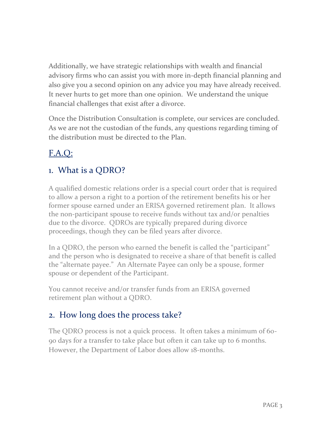Additionally, we have strategic relationships with wealth and financial advisory firms who can assist you with more in-depth financial planning and also give you a second opinion on any advice you may have already received. It never hurts to get more than one opinion. We understand the unique financial challenges that exist after a divorce.

Once the Distribution Consultation is complete, our services are concluded. As we are not the custodian of the funds, any questions regarding timing of the distribution must be directed to the Plan.

## F.A.Q:

#### 1. What is a QDRO?

A qualified domestic relations order is a special court order that is required to allow a person a right to a portion of the retirement benefits his or her former spouse earned under an ERISA governed retirement plan. It allows the non-participant spouse to receive funds without tax and/or penalties due to the divorce. QDROs are typically prepared during divorce proceedings, though they can be filed years after divorce.

In a QDRO, the person who earned the benefit is called the "participant" and the person who is designated to receive a share of that benefit is called the "alternate payee." An Alternate Payee can only be a spouse, former spouse or dependent of the Participant.

You cannot receive and/or transfer funds from an ERISA governed retirement plan without a QDRO.

#### 2. How long does the process take?

The QDRO process is not a quick process. It often takes a minimum of 60- 90 days for a transfer to take place but often it can take up to 6 months. However, the Department of Labor does allow 18-months.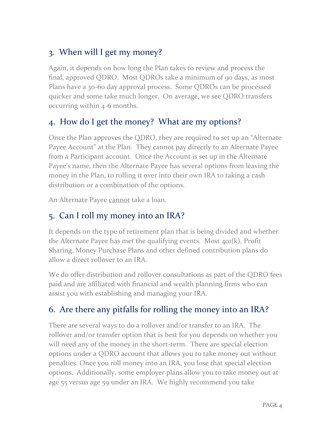#### 3. When will I get my money?

Again, it depends on how long the Plan takes to review and process the final, approved QDRO. Most QDROs take a minimum of 90 days, as most Plans have a 30-60 day approval process. Some QDROs can be processed quicker and some take much longer. On average, we see QDRO transfers occurring within 4-6 months.

#### 4. How do I get the money? What are my options?

Once the Plan approves the QDRO, they are required to set up an "Alternate Payee Account" at the Plan. They cannot pay directly to an Alternate Payee from a Participant account. Once the Account is set up in the Alternate Payee's name, then the Alternate Payee has several options from leaving the money in the Plan, to rolling it over into their own IRA to taking a cash distribution or a combination of the options.

An Alternate Payee cannot take a loan.

### 5. Can I roll my money into an IRA?

It depends on the type of retirement plan that is being divided and whether the Alternate Payee has met the qualifying events. Most 401(k), Profit Sharing, Money Purchase Plans and other defined contribution plans do allow a direct rollover to an IRA.

We do offer distribution and rollover consultations as part of the QDRO fees paid and are affiliated with financial and wealth planning firms who can assist you with establishing and managing your IRA.

#### 6. Are there any pitfalls for rolling the money into an IRA?

There are several ways to do a rollover and/or transfer to an IRA. The rollover and/or transfer option that is best for you depends on whether you will need any of the money in the short-term. There are special election options under a QDRO account that allows you to take money out without penalties. Once you roll money into an IRA, you lose that special election options. Additionally, some employer plans allow you to take money out at age 55 versus age 59 under an IRA. We highly recommend you take